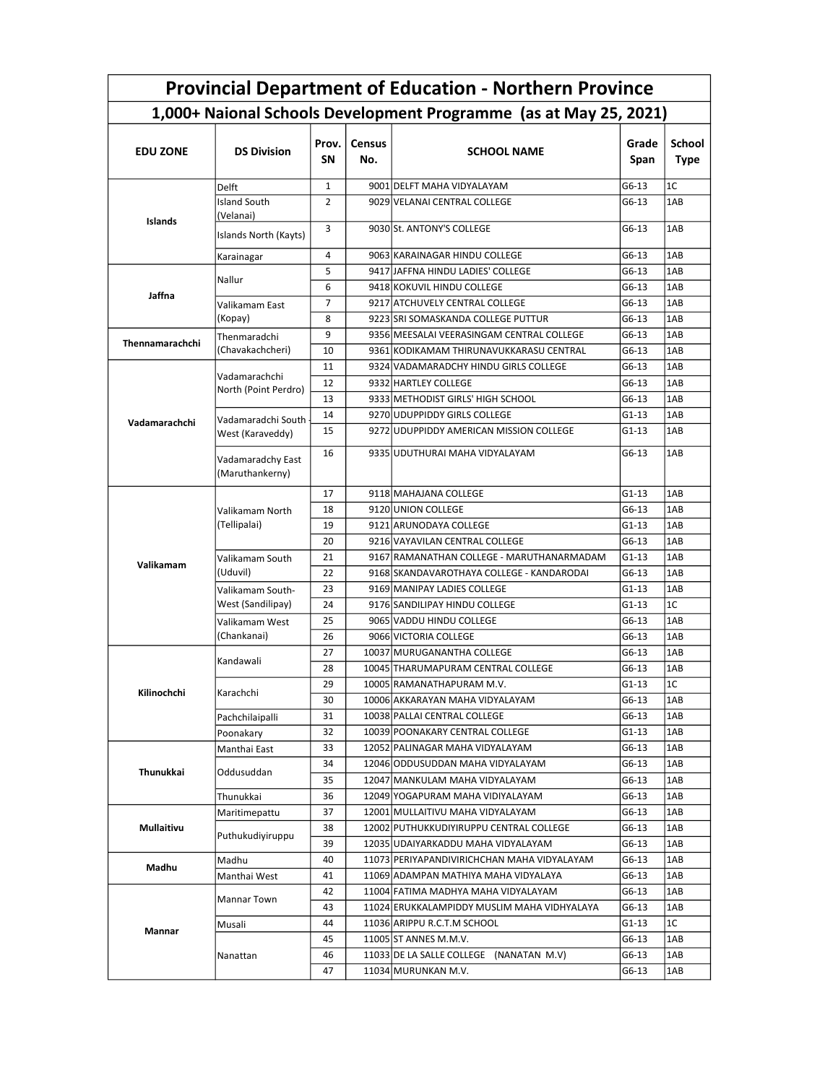| <b>Provincial Department of Education - Northern Province</b>     |                                        |                    |                      |                                             |               |                              |  |  |  |  |
|-------------------------------------------------------------------|----------------------------------------|--------------------|----------------------|---------------------------------------------|---------------|------------------------------|--|--|--|--|
| 1,000+ Naional Schools Development Programme (as at May 25, 2021) |                                        |                    |                      |                                             |               |                              |  |  |  |  |
| <b>EDU ZONE</b>                                                   | <b>DS Division</b>                     | Prov.<br><b>SN</b> | <b>Census</b><br>No. | <b>SCHOOL NAME</b>                          | Grade<br>Span | <b>School</b><br><b>Type</b> |  |  |  |  |
| Islands                                                           | Delft                                  | 1                  |                      | 9001 DELFT MAHA VIDYALAYAM                  | G6-13         | 1C                           |  |  |  |  |
|                                                                   | <b>Island South</b>                    | $\overline{2}$     |                      | 9029 VELANAI CENTRAL COLLEGE                | G6-13         | 1AB                          |  |  |  |  |
|                                                                   | (Velanai)<br>Islands North (Kayts)     | 3                  |                      | 9030 St. ANTONY'S COLLEGE                   | G6-13         | 1AB                          |  |  |  |  |
|                                                                   | Karainagar                             | 4                  |                      | 9063 KARAINAGAR HINDU COLLEGE               | G6-13         | 1AB                          |  |  |  |  |
| Jaffna                                                            | Nallur                                 | 5                  |                      | 9417 JAFFNA HINDU LADIES' COLLEGE           | G6-13         | 1AB                          |  |  |  |  |
|                                                                   |                                        | 6                  |                      | 9418 KOKUVIL HINDU COLLEGE                  | G6-13         | 1AB                          |  |  |  |  |
|                                                                   | Valikamam East<br>(Kopay)              | 7                  |                      | 9217 ATCHUVELY CENTRAL COLLEGE              | G6-13         | 1AB                          |  |  |  |  |
|                                                                   |                                        | 8                  |                      | 9223 SRI SOMASKANDA COLLEGE PUTTUR          | G6-13         | 1AB                          |  |  |  |  |
|                                                                   | Thenmaradchi<br>(Chavakachcheri)       | 9                  |                      | 9356 MEESALAI VEERASINGAM CENTRAL COLLEGE   | G6-13         | 1AB                          |  |  |  |  |
| Thennamarachchi                                                   |                                        | 10                 |                      | 9361 KODIKAMAM THIRUNAVUKKARASU CENTRAL     | G6-13         | 1AB                          |  |  |  |  |
|                                                                   |                                        | 11                 |                      | 9324 VADAMARADCHY HINDU GIRLS COLLEGE       | G6-13         | 1AB                          |  |  |  |  |
|                                                                   | Vadamarachchi                          | 12                 |                      | 9332 HARTLEY COLLEGE                        | $G6-13$       | 1AB                          |  |  |  |  |
|                                                                   | North (Point Perdro)                   | 13                 |                      | 9333 METHODIST GIRLS' HIGH SCHOOL           | G6-13         | 1AB                          |  |  |  |  |
|                                                                   | Vadamaradchi South<br>West (Karaveddy) | 14                 |                      | 9270 UDUPPIDDY GIRLS COLLEGE                | G1-13         | 1AB                          |  |  |  |  |
| Vadamarachchi                                                     |                                        | 15                 |                      | 9272 UDUPPIDDY AMERICAN MISSION COLLEGE     | $G1-13$       | 1AB                          |  |  |  |  |
|                                                                   | Vadamaradchy East<br>(Maruthankerny)   | 16                 |                      | 9335 UDUTHURAI MAHA VIDYALAYAM              | G6-13         | 1AB                          |  |  |  |  |
| Valikamam                                                         | Valikamam North<br>(Tellipalai)        | 17                 |                      | 9118 MAHAJANA COLLEGE                       | $G1-13$       | 1AB                          |  |  |  |  |
|                                                                   |                                        | 18                 |                      | 9120 UNION COLLEGE                          | G6-13         | 1AB                          |  |  |  |  |
|                                                                   |                                        | 19                 |                      | 9121 ARUNODAYA COLLEGE                      | G1-13         | 1AB                          |  |  |  |  |
|                                                                   |                                        | 20                 |                      | 9216 VAYAVILAN CENTRAL COLLEGE              | G6-13         | 1AB                          |  |  |  |  |
|                                                                   | Valikamam South                        | 21                 |                      | 9167 RAMANATHAN COLLEGE - MARUTHANARMADAM   | $G1-13$       | 1AB                          |  |  |  |  |
|                                                                   | (Uduvil)                               | 22                 |                      | 9168 SKANDAVAROTHAYA COLLEGE - KANDARODAI   | G6-13         | 1AB                          |  |  |  |  |
|                                                                   | Valikamam South-                       | 23                 |                      | 9169 MANIPAY LADIES COLLEGE                 | $G1-13$       | 1AB                          |  |  |  |  |
|                                                                   | West (Sandilipay)                      | 24                 |                      | 9176 SANDILIPAY HINDU COLLEGE               | $G1-13$       | 1C                           |  |  |  |  |
|                                                                   | Valikamam West<br>(Chankanai)          | 25                 |                      | 9065 VADDU HINDU COLLEGE                    | G6-13         | 1AB                          |  |  |  |  |
|                                                                   |                                        | 26                 |                      | 9066 VICTORIA COLLEGE                       | G6-13         | 1AB                          |  |  |  |  |
| Kilinochchi                                                       | Kandawali                              | 27                 |                      | 10037 MURUGANANTHA COLLEGE                  | G6-13         | 1AB                          |  |  |  |  |
|                                                                   |                                        | 28                 |                      | 10045 THARUMAPURAM CENTRAL COLLEGE          | G6-13         | 1AB                          |  |  |  |  |
|                                                                   | Karachchi                              | 29                 |                      | 10005 RAMANATHAPURAM M.V.                   | $G1-13$       | 1C                           |  |  |  |  |
|                                                                   |                                        | 30                 |                      | 10006 AKKARAYAN MAHA VIDYALAYAM             | G6-13         | 1AB                          |  |  |  |  |
|                                                                   | Pachchilaipalli                        | 31                 |                      | 10038 PALLAI CENTRAL COLLEGE                | G6-13         | 1AB                          |  |  |  |  |
|                                                                   | Poonakary                              | 32                 |                      | 10039 POONAKARY CENTRAL COLLEGE             | G1-13         | 1AB                          |  |  |  |  |
| Thunukkai                                                         | Manthai East                           | 33                 |                      | 12052 PALINAGAR MAHA VIDYALAYAM             | G6-13         | 1AB                          |  |  |  |  |
|                                                                   | Oddusuddan                             | 34                 |                      | 12046 ODDUSUDDAN MAHA VIDYALAYAM            | G6-13         | 1AB                          |  |  |  |  |
|                                                                   |                                        | 35                 |                      | 12047 MANKULAM MAHA VIDYALAYAM              | G6-13         | 1AB                          |  |  |  |  |
|                                                                   | Thunukkai                              | 36                 |                      | 12049 YOGAPURAM MAHA VIDIYALAYAM            | G6-13         | 1AB                          |  |  |  |  |
| Mullaitivu                                                        | Maritimepattu                          | 37                 |                      | 12001 MULLAITIVU MAHA VIDYALAYAM            | G6-13         | 1AB                          |  |  |  |  |
|                                                                   | Puthukudiyiruppu                       | 38                 |                      | 12002 PUTHUKKUDIYIRUPPU CENTRAL COLLEGE     | G6-13         | 1AB                          |  |  |  |  |
|                                                                   |                                        | 39                 |                      | 12035 UDAIYARKADDU MAHA VIDYALAYAM          | G6-13         | 1AB                          |  |  |  |  |
| Madhu<br>Mannar                                                   | Madhu                                  | 40                 |                      | 11073 PERIYAPANDIVIRICHCHAN MAHA VIDYALAYAM | G6-13         | 1AB                          |  |  |  |  |
|                                                                   | Manthai West                           | 41                 |                      | 11069 ADAMPAN MATHIYA MAHA VIDYALAYA        | G6-13         | 1AB                          |  |  |  |  |
|                                                                   | Mannar Town                            | 42                 |                      | 11004 FATIMA MADHYA MAHA VIDYALAYAM         | G6-13         | 1AB                          |  |  |  |  |
|                                                                   |                                        | 43                 |                      | 11024 ERUKKALAMPIDDY MUSLIM MAHA VIDHYALAYA | G6-13         | 1AB                          |  |  |  |  |
|                                                                   | Musali                                 | 44                 |                      | 11036 ARIPPU R.C.T.M SCHOOL                 | G1-13         | 1C                           |  |  |  |  |
|                                                                   | Nanattan                               | 45                 |                      | 11005 ST ANNES M.M.V.                       | G6-13         | 1AB                          |  |  |  |  |
|                                                                   |                                        | 46                 |                      | 11033 DE LA SALLE COLLEGE<br>(NANATAN M.V)  | G6-13         | 1AB                          |  |  |  |  |
|                                                                   |                                        | 47                 |                      | 11034 MURUNKAN M.V.                         | G6-13         | 1AB                          |  |  |  |  |